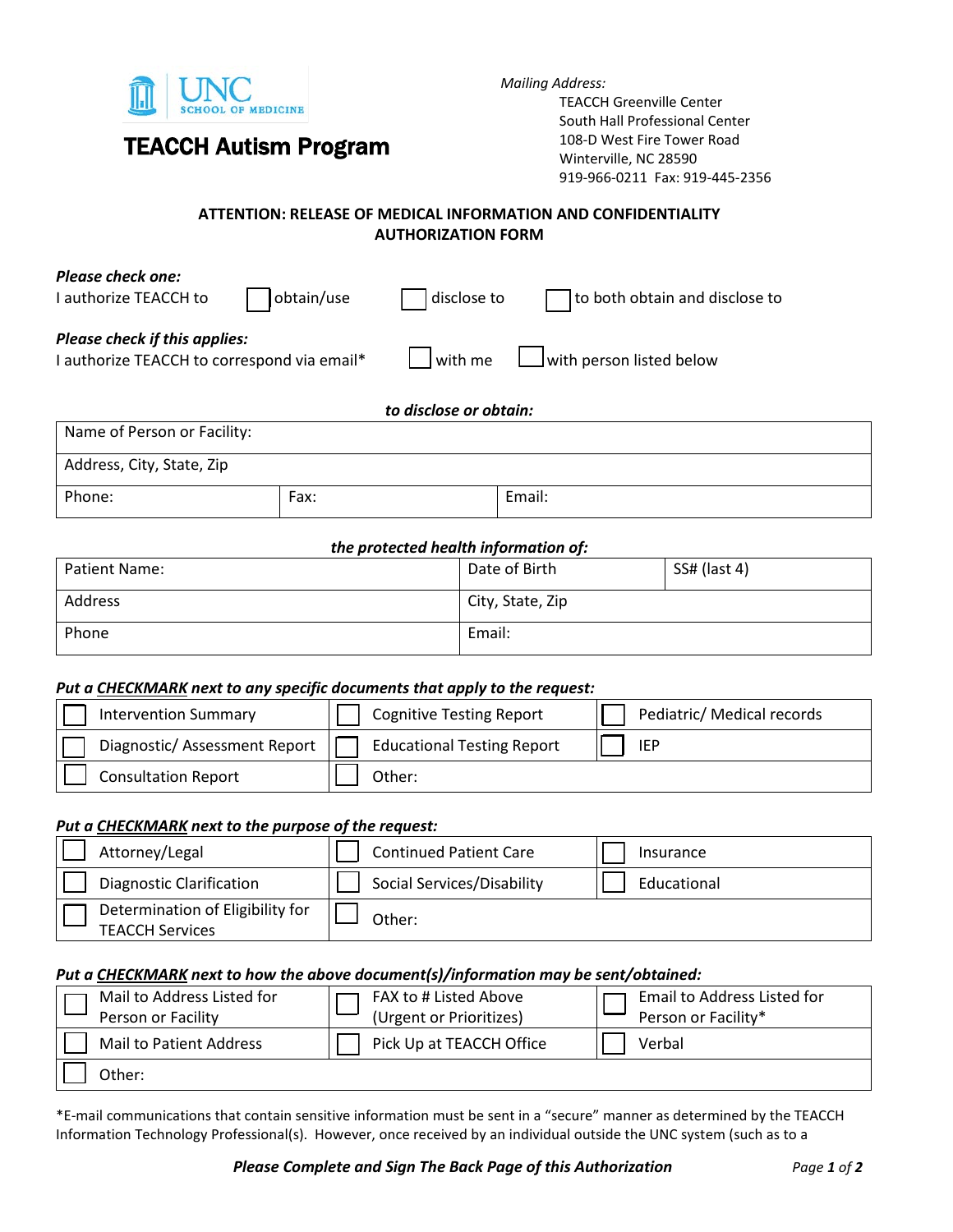

# TEACCH Autism Program

*Mailing Address:* 

TEACCH Greenville Center South Hall Professional Center 108-D West Fire Tower Road Winterville, NC 28590 919-966-0211 Fax: 919-445-2356

### **ATTENTION: RELEASE OF MEDICAL INFORMATION AND CONFIDENTIALITY AUTHORIZATION FORM**

| <b>Please check one:</b><br>I authorize TEACCH to                                   | obtain/use | disclose to            | to both obtain and disclose to   |
|-------------------------------------------------------------------------------------|------------|------------------------|----------------------------------|
| <b>Please check if this applies:</b><br>I authorize TEACCH to correspond via email* |            | $\vert$ with me        | $\vert$ with person listed below |
|                                                                                     |            | to disclose or obtain: |                                  |
| Name of Person or Facility:                                                         |            |                        |                                  |
| Address, City, State, Zip                                                           |            |                        |                                  |

Phone:  $|$  Fax:  $|$  Email:

#### *the protected health information of:*

| Patient Name: | Date of Birth    | SS# (last 4) |
|---------------|------------------|--------------|
| Address       | City, State, Zip |              |
| Phone         | Email:           |              |

#### *Put a CHECKMARK next to any specific documents that apply to the request:*

| <b>Intervention Summary</b>   | <b>Cognitive Testing Report</b>   | Pediatric/ Medical records |
|-------------------------------|-----------------------------------|----------------------------|
| Diagnostic/ Assessment Report | <b>Educational Testing Report</b> | <b>IEP</b>                 |
| <b>Consultation Report</b>    | Other:                            |                            |

#### *Put a CHECKMARK next to the purpose of the request:*

| Attorney/Legal                                             | <b>Continued Patient Care</b> | Insurance   |
|------------------------------------------------------------|-------------------------------|-------------|
| <b>Diagnostic Clarification</b>                            | Social Services/Disability    | Educational |
| Determination of Eligibility for<br><b>TEACCH Services</b> | Other:                        |             |

#### *Put a CHECKMARK next to how the above document(s)/information may be sent/obtained:*

| Mail to Address Listed for<br>Person or Facility | FAX to # Listed Above<br>(Urgent or Prioritizes) | Email to Address Listed for<br>Person or Facility* |
|--------------------------------------------------|--------------------------------------------------|----------------------------------------------------|
| Mail to Patient Address                          | Pick Up at TEACCH Office                         | Verbal                                             |
| Other:                                           |                                                  |                                                    |

\*E-mail communications that contain sensitive information must be sent in a "secure" manner as determined by the TEACCH Information Technology Professional(s). However, once received by an individual outside the UNC system (such as to a